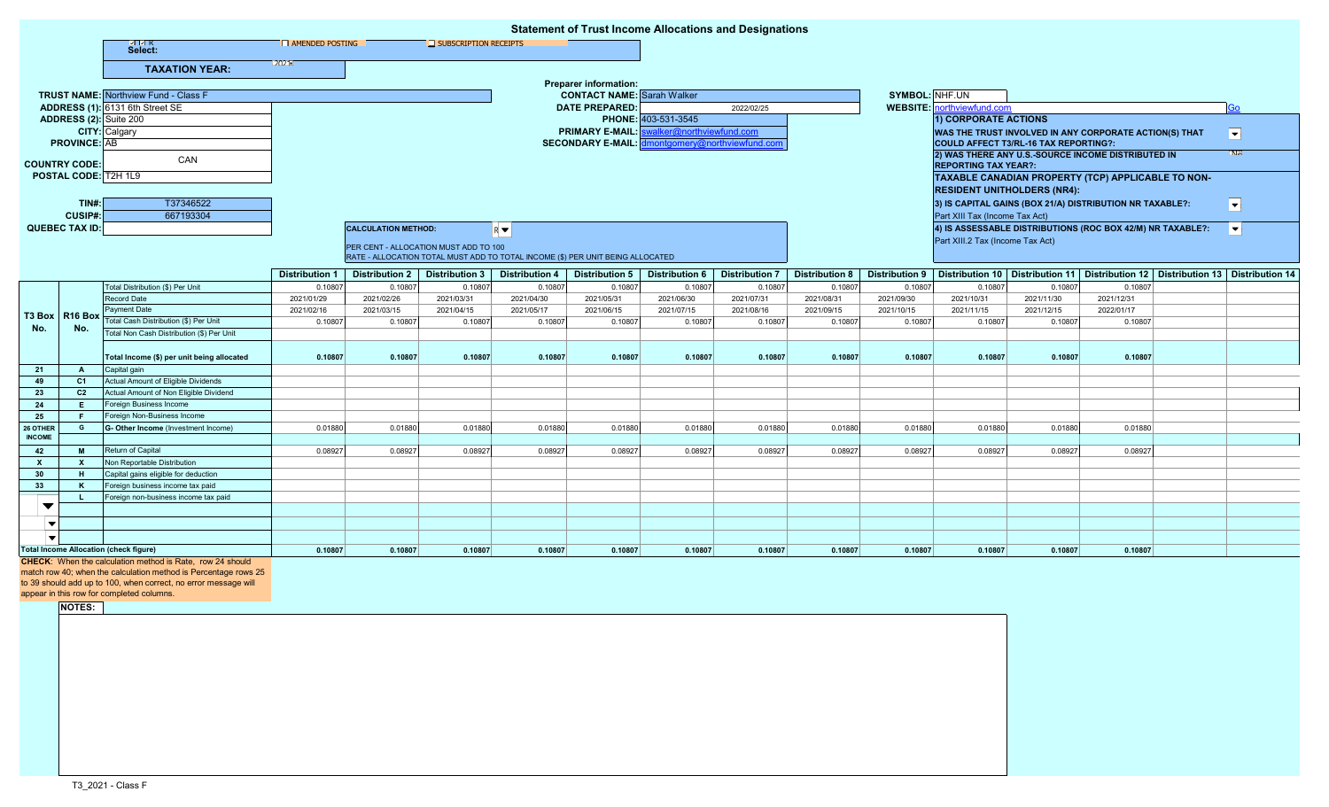|                                               |                                |                                                                   |                                                          |                                                                                                |                                  |                                                                                |                                                           |                                     | <b>Statement of Trust Income Allocations and Designations</b> |                       |                       |                                                    |                                                        |                                                                                         |                          |
|-----------------------------------------------|--------------------------------|-------------------------------------------------------------------|----------------------------------------------------------|------------------------------------------------------------------------------------------------|----------------------------------|--------------------------------------------------------------------------------|-----------------------------------------------------------|-------------------------------------|---------------------------------------------------------------|-----------------------|-----------------------|----------------------------------------------------|--------------------------------------------------------|-----------------------------------------------------------------------------------------|--------------------------|
|                                               |                                | ⊠ ⊠ R<br>Select:                                                  | <b>AMENDED POSTING</b>                                   |                                                                                                | $\Box$ SUBSCRIPTION RECEIPTS     |                                                                                |                                                           |                                     |                                                               |                       |                       |                                                    |                                                        |                                                                                         |                          |
|                                               |                                | <b>TAXATION YEAR:</b>                                             | 12021 1                                                  |                                                                                                |                                  |                                                                                |                                                           |                                     |                                                               |                       |                       |                                                    |                                                        |                                                                                         |                          |
|                                               |                                |                                                                   |                                                          |                                                                                                |                                  |                                                                                | <b>Preparer information:</b>                              |                                     |                                                               |                       |                       |                                                    |                                                        |                                                                                         |                          |
|                                               |                                | <b>TRUST NAME:</b> Northview Fund - Class F                       |                                                          |                                                                                                |                                  |                                                                                | <b>CONTACT NAME:</b> Sarah Walker                         |                                     |                                                               |                       | SYMBOL: NHF.UN        |                                                    |                                                        |                                                                                         |                          |
|                                               |                                | ADDRESS (1): 6131 6th Street SE                                   |                                                          |                                                                                                |                                  |                                                                                |                                                           | <b>DATE PREPARED:</b><br>2022/02/25 |                                                               |                       |                       | <b>WEBSITE:</b> northviewfund.com                  |                                                        |                                                                                         | óс                       |
| ADDRESS (2): Suite 200                        |                                |                                                                   |                                                          |                                                                                                |                                  | PHONE: 403-531-3545                                                            |                                                           |                                     |                                                               |                       | 1) CORPORATE ACTIONS  |                                                    |                                                        |                                                                                         |                          |
|                                               |                                | <b>CITY:</b> Calgary                                              |                                                          |                                                                                                |                                  |                                                                                | valker@northviewfund.com<br><b>PRIMARY E-MAIL:</b>        |                                     |                                                               |                       |                       |                                                    | WAS THE TRUST INVOLVED IN ANY CORPORATE ACTION(S) THAT |                                                                                         | $\overline{\phantom{a}}$ |
| <b>PROVINCE: AB</b>                           |                                |                                                                   |                                                          |                                                                                                |                                  |                                                                                | Imontgomery@northviewfund.con<br><b>SECONDARY E-MAIL:</b> |                                     |                                                               |                       |                       | COULD AFFECT T3/RL-16 TAX REPORTING?:              |                                                        |                                                                                         |                          |
|                                               |                                | CAN                                                               |                                                          |                                                                                                |                                  |                                                                                |                                                           |                                     |                                                               |                       |                       | 2) WAS THERE ANY U.S.-SOURCE INCOME DISTRIBUTED IN |                                                        |                                                                                         |                          |
| <b>COUNTRY CODE:</b>                          |                                |                                                                   |                                                          | <b>REPORTING TAX YEAR?:</b>                                                                    |                                  |                                                                                |                                                           |                                     |                                                               |                       |                       |                                                    |                                                        |                                                                                         |                          |
| POSTAL CODE: T2H 1L9                          |                                |                                                                   |                                                          | TAXABLE CANADIAN PROPERTY (TCP) APPLICABLE TO NON-                                             |                                  |                                                                                |                                                           |                                     |                                                               |                       |                       |                                                    |                                                        |                                                                                         |                          |
|                                               |                                |                                                                   |                                                          |                                                                                                |                                  |                                                                                |                                                           |                                     |                                                               |                       |                       |                                                    | <b>RESIDENT UNITHOLDERS (NR4):</b>                     |                                                                                         |                          |
|                                               | TINH:                          | T37346522                                                         | 3) IS CAPITAL GAINS (BOX 21/A) DISTRIBUTION NR TAXABLE?: |                                                                                                |                                  |                                                                                |                                                           |                                     |                                                               |                       |                       |                                                    | $ \mathbf{v} $                                         |                                                                                         |                          |
|                                               | CUSIP#:                        | 667193304                                                         |                                                          | Part XIII Tax (Income Tax Act)                                                                 |                                  |                                                                                |                                                           |                                     |                                                               |                       |                       |                                                    |                                                        |                                                                                         |                          |
|                                               | <b>QUEBEC TAX ID:</b>          |                                                                   |                                                          | 4) IS ASSESSABLE DISTRIBUTIONS (ROC BOX 42/M) NR TAXABLE?:<br><b>CALCULATION METHOD:</b><br>RV |                                  |                                                                                |                                                           |                                     |                                                               |                       |                       |                                                    |                                                        | $ \mathbf{v} $                                                                          |                          |
|                                               |                                |                                                                   |                                                          | PER CENT - ALLOCATION MUST ADD TO 100                                                          |                                  |                                                                                |                                                           |                                     |                                                               |                       |                       | Part XIII.2 Tax (Income Tax Act)                   |                                                        |                                                                                         |                          |
|                                               |                                |                                                                   |                                                          |                                                                                                |                                  | RATE - ALLOCATION TOTAL MUST ADD TO TOTAL INCOME (\$) PER UNIT BEING ALLOCATED |                                                           |                                     |                                                               |                       |                       |                                                    |                                                        |                                                                                         |                          |
|                                               |                                |                                                                   |                                                          | Distribution 2                                                                                 |                                  | <b>Distribution 4</b>                                                          | Distribution 5                                            | <b>Distribution 6</b>               | <b>Distribution 7</b>                                         | <b>Distribution 8</b> | <b>Distribution 9</b> |                                                    |                                                        | Distribution 10   Distribution 11   Distribution 12   Distribution 13   Distribution 14 |                          |
|                                               |                                |                                                                   | Distribution 1                                           |                                                                                                | <b>Distribution 3</b><br>0.10807 | 0.10807                                                                        | 0.10807                                                   | 0.10807                             |                                                               | 0.10807               | 0.10807               | 0.10807                                            | 0.10807                                                | 0.10807                                                                                 |                          |
| No.                                           | <b>T3 Box   R16 Box</b><br>No. | Total Distribution (\$) Per Unit<br>Record Date                   | 0.1080<br>2021/01/29                                     | 0.10807<br>2021/02/26                                                                          | 2021/03/31                       | 2021/04/30                                                                     | 2021/05/31                                                | 2021/06/30                          | 0.1080<br>2021/07/31                                          | 2021/08/31            | 2021/09/30            | 2021/10/31                                         | 2021/11/30                                             | 2021/12/31                                                                              |                          |
|                                               |                                | Payment Date                                                      | 2021/02/16                                               | 2021/03/15                                                                                     | 2021/04/15                       | 2021/05/17                                                                     | 2021/06/15                                                | 2021/07/15                          | 2021/08/16                                                    | 2021/09/15            | 2021/10/15            | 2021/11/15                                         | 2021/12/15                                             | 2022/01/17                                                                              |                          |
|                                               |                                | Total Cash Distribution (\$) Per Unit                             | 0.1080                                                   | 0.10807                                                                                        | 0.10807                          | 0.10807                                                                        | 0.10807                                                   | 0.10807                             | 0.10807                                                       | 0.10807               | 0.10807               | 0.10807                                            | 0.10807                                                | 0.10807                                                                                 |                          |
|                                               |                                | Total Non Cash Distribution (\$) Per Unit                         |                                                          |                                                                                                |                                  |                                                                                |                                                           |                                     |                                                               |                       |                       |                                                    |                                                        |                                                                                         |                          |
|                                               |                                |                                                                   |                                                          |                                                                                                |                                  |                                                                                |                                                           |                                     |                                                               |                       |                       |                                                    |                                                        |                                                                                         |                          |
|                                               |                                | Total Income (\$) per unit being allocated                        | 0.10807                                                  | 0.10807                                                                                        | 0.10807                          | 0.10807                                                                        | 0.10807                                                   | 0.10807                             | 0.10807                                                       | 0.10807               | 0.10807               | 0.10807                                            | 0.10807                                                | 0.10807                                                                                 |                          |
| 21                                            | <b>A</b>                       | Capital gain                                                      |                                                          |                                                                                                |                                  |                                                                                |                                                           |                                     |                                                               |                       |                       |                                                    |                                                        |                                                                                         |                          |
| 49                                            | C <sub>1</sub>                 | Actual Amount of Eligible Dividends                               |                                                          |                                                                                                |                                  |                                                                                |                                                           |                                     |                                                               |                       |                       |                                                    |                                                        |                                                                                         |                          |
| 23<br>24                                      | C <sub>2</sub><br>E.           | Actual Amount of Non Eligible Dividend<br>Foreign Business Income |                                                          |                                                                                                |                                  |                                                                                |                                                           |                                     |                                                               |                       |                       |                                                    |                                                        |                                                                                         |                          |
| 25                                            | - F                            | Foreign Non-Business Income                                       |                                                          |                                                                                                |                                  |                                                                                |                                                           |                                     |                                                               |                       |                       |                                                    |                                                        |                                                                                         |                          |
| 26 OTHER                                      | G                              | G- Other Income (Investment Income)                               | 0.01880                                                  | 0.01880                                                                                        | 0.01880                          | 0.01880                                                                        | 0.01880                                                   | 0.01880                             | 0.01880                                                       | 0.01880               | 0.01880               | 0.01880                                            | 0.01880                                                | 0.01880                                                                                 |                          |
| <b>INCOME</b>                                 |                                |                                                                   |                                                          |                                                                                                |                                  |                                                                                |                                                           |                                     |                                                               |                       |                       |                                                    |                                                        |                                                                                         |                          |
| 42                                            | M                              | Return of Capital                                                 | 0.0892                                                   | 0.08927                                                                                        | 0.08927                          | 0.08927                                                                        | 0.08927                                                   | 0.08927                             | 0.0892                                                        | 0.08927               | 0.08927               | 0.08927                                            | 0.08927                                                | 0.08927                                                                                 |                          |
| $\mathbf{x}$                                  | $\mathbf{x}$                   | Non Reportable Distribution                                       |                                                          |                                                                                                |                                  |                                                                                |                                                           |                                     |                                                               |                       |                       |                                                    |                                                        |                                                                                         |                          |
| 30                                            |                                | Capital gains eligible for deduction                              |                                                          |                                                                                                |                                  |                                                                                |                                                           |                                     |                                                               |                       |                       |                                                    |                                                        |                                                                                         |                          |
| 33                                            | K                              | Foreign business income tax paid                                  |                                                          |                                                                                                |                                  |                                                                                |                                                           |                                     |                                                               |                       |                       |                                                    |                                                        |                                                                                         |                          |
| $\overline{\phantom{a}}$                      |                                | Foreign non-business income tax paid                              |                                                          |                                                                                                |                                  |                                                                                |                                                           |                                     |                                                               |                       |                       |                                                    |                                                        |                                                                                         |                          |
|                                               |                                |                                                                   |                                                          |                                                                                                |                                  |                                                                                |                                                           |                                     |                                                               |                       |                       |                                                    |                                                        |                                                                                         |                          |
|                                               |                                |                                                                   |                                                          |                                                                                                |                                  |                                                                                |                                                           |                                     |                                                               |                       |                       |                                                    |                                                        |                                                                                         |                          |
|                                               |                                |                                                                   |                                                          |                                                                                                |                                  |                                                                                |                                                           |                                     |                                                               |                       |                       |                                                    |                                                        |                                                                                         |                          |
| <b>Total Income Allocation (check figure)</b> |                                |                                                                   | 0.10807                                                  | 0.10807                                                                                        | 0.10807                          | 0.10807                                                                        | 0.10807                                                   | 0.10807                             | 0.10807                                                       | 0.10807               | 0.10807               | 0.10807                                            | 0.10807                                                | 0.10807                                                                                 |                          |
|                                               |                                | $CHFCK:$ When the calculation method is Rate row 24 should        |                                                          |                                                                                                |                                  |                                                                                |                                                           |                                     |                                                               |                       |                       |                                                    |                                                        |                                                                                         |                          |

**CHECK**: When the calculation method is Rate, row 24 should

match row 40; when the calculation method is Percentage rows 25

to 39 should add up to 100, when correct, no error message will

appear in this row for completed columns.

**NOTES:**